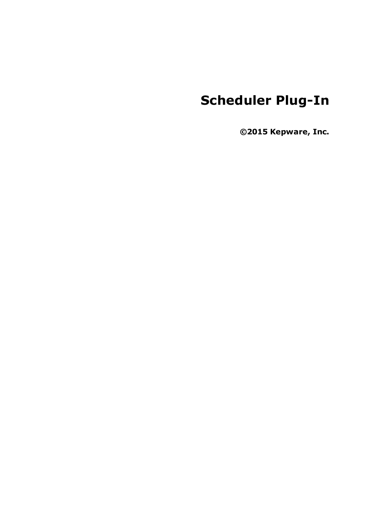# **Scheduler Plug-In**

**©2015 Kepware, Inc.**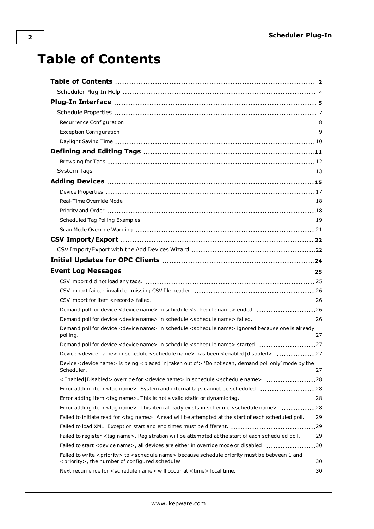# <span id="page-1-0"></span>**Table of Contents**

| Demand poll for device <device name=""> in schedule <schedule name=""> ended. 26</schedule></device>                             |  |
|----------------------------------------------------------------------------------------------------------------------------------|--|
| Demand poll for device <device name=""> in schedule <schedule name=""> failed. 26</schedule></device>                            |  |
| Demand poll for device <device name=""> in schedule <schedule name=""> ignored because one is already</schedule></device>        |  |
| Demand poll for device <device name=""> in schedule <schedule name=""> started. 27</schedule></device>                           |  |
| Device <device name=""> in schedule <schedule name=""> has been <enabled disabled>27</enabled disabled></schedule></device>      |  |
| Device <device name=""> is being <placed in taken="" of="" out=""> 'Do not scan, demand poll only' mode by the</placed></device> |  |
| <enabled disabled=""  =""> override for <device name=""> in schedule <schedule name="">. 28</schedule></device></enabled>        |  |
| Error adding item <tag name="">. System and internal tags cannot be scheduled. 28</tag>                                          |  |
| Error adding item <tag name="">. This is not a valid static or dynamic tag.  28</tag>                                            |  |
| Error adding item <tag name="">. This item already exists in schedule <schedule name="">. 28</schedule></tag>                    |  |
| Failed to initiate read for <tag name="">. A read will be attempted at the start of each scheduled poll. 29</tag>                |  |
|                                                                                                                                  |  |
| Failed to register <tag name="">. Registration will be attempted at the start of each scheduled poll. 29</tag>                   |  |
| Failed to start <device name="">, all devices are either in override mode or disabled. 30</device>                               |  |
| Failed to write <priority> to <schedule name=""> because schedule priority must be between 1 and</schedule></priority>           |  |
| Next recurrence for <schedule name=""> will occur at <time> local time. 30</time></schedule>                                     |  |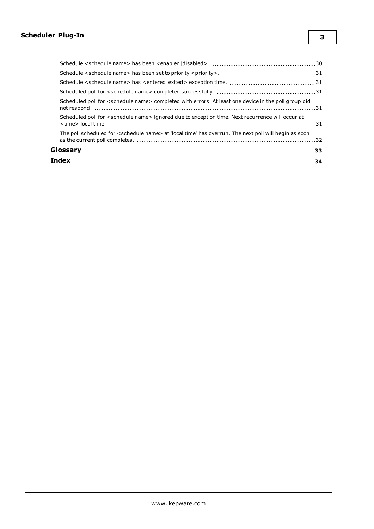| The poll scheduled for <schedule name=""> at 'local time' has overrun. The next poll will begin as soon</schedule> |  |
|--------------------------------------------------------------------------------------------------------------------|--|
| Scheduled poll for <schedule name=""> ignored due to exception time. Next recurrence will occur at</schedule>      |  |
| Scheduled poll for <schedule name=""> completed with errors. At least one device in the poll group did</schedule>  |  |
|                                                                                                                    |  |
|                                                                                                                    |  |
|                                                                                                                    |  |
|                                                                                                                    |  |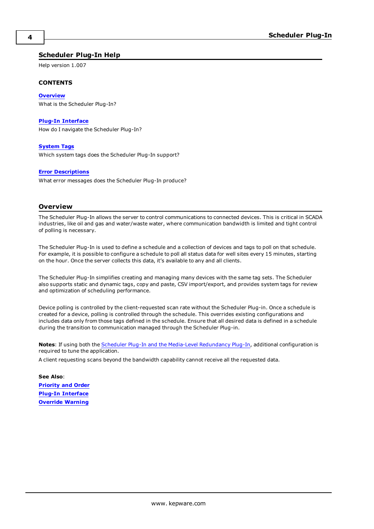### <span id="page-3-0"></span>**Scheduler Plug-In Help**

Help version 1.007

#### **CONTENTS**

**[Overview](#page-3-1)** What is the Scheduler Plug-In?

#### **Plug-In [Interface](#page-4-0)**

How do I navigate the Scheduler Plug-In?

**[System](#page-12-0) Tags** Which system tags does the Scheduler Plug-In support?

#### **Error [Descriptions](#page-24-0)**

What error messages does the Scheduler Plug-In produce?

#### <span id="page-3-1"></span>**Overview**

The Scheduler Plug-In allows the server to control communications to connected devices. This is critical in SCADA industries, like oil and gas and water/waste water, where communication bandwidth is limited and tight control of polling is necessary.

The Scheduler Plug-In is used to define a schedule and a collection of devices and tags to poll on that schedule. For example, it is possible to configure a schedule to poll all status data for well sites every 15 minutes, starting on the hour. Once the server collects this data, it's available to any and all clients.

The Scheduler Plug-In simplifies creating and managing many devices with the same tag sets. The Scheduler also supports static and dynamic tags, copy and paste, CSV import/export, and provides system tags for review and optimization of scheduling performance.

Device polling is controlled by the client-requested scan rate without the Scheduler Plug-in. Once a schedule is created for a device, polling is controlled through the schedule. This overrides existing configurations and includes data only from those tags defined in the schedule. Ensure that all desired data is defined in a schedule during the transition to communication managed through the Scheduler Plug-in.

**Notes**: If using both the Scheduler Plug-In and the Media-Level [Redundancy](#page-18-1) Plug-In, additional configuration is required to tune the application.

A client requesting scans beyond the bandwidth capability cannot receive all the requested data.

**See Also**: **[Priority](#page-17-1) and Order Plug-In [Interface](#page-4-0) Override [Warning](#page-20-0)**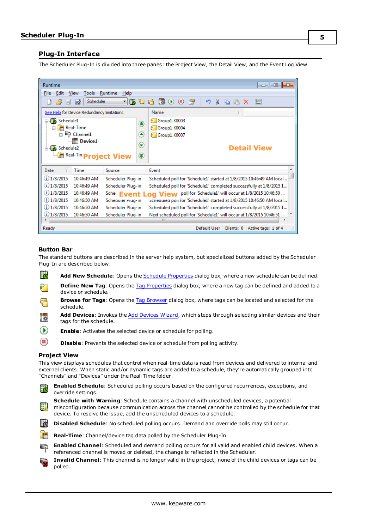### <span id="page-4-0"></span>**Plug-In Interface**

The Scheduler Plug-In is divided into three panes: the Project View, the Detail View, and the Event Log View.

| Runtime<br>Edit<br><b>File</b><br>$\rightarrow$<br>H             | View<br><b>Tools</b><br><b>Scheduler</b><br>ø                                                                                            | Runtime<br>Help<br>圈<br>$\mathbf{r}$<br>₹.                               | - 0 3<br>嘛<br>$\frac{M}{2}$<br>$\circ$<br>會<br>и,<br>匷<br>a B<br>后<br>◉<br>×                                                                                                                                                                                                 |
|------------------------------------------------------------------|------------------------------------------------------------------------------------------------------------------------------------------|--------------------------------------------------------------------------|------------------------------------------------------------------------------------------------------------------------------------------------------------------------------------------------------------------------------------------------------------------------------|
| ⊟ Fo Schedule1<br>G-Co Schedule2                                 | See Help for Device Redundancy limitations<br><b>M</b> Real-Time<br><b>Channel1</b><br><b>In Device1</b><br><b>Real-Tin Project View</b> | ۵<br>◉<br>$\left( \blacktriangledown \right)$<br>۲                       | Name<br>Group1.K0003<br>Group1.K0004<br>Group1.K0007<br><b>Detail View</b>                                                                                                                                                                                                   |
| Date<br>$(i)$ 1/8/2015<br>$(i)$ 1/8/2015<br>$(i)$ 1/8/2015       | Time<br>10:46:49 AM<br>10:46:49 AM<br>10:46:49 AM                                                                                        | Source<br>Scheduler Plug-in<br>Scheduler Plug-in<br>Scher Event Log View | Event<br>Scheduled poll for 'Schedule1' started at 1/8/2015 10:46:49 AM local<br>Scheduled poll for 'Schedule1' completed successfully at 1/8/2015 1<br>poll for 'Schedule1' will occur at 1/8/2015 10:46:50                                                                 |
| $(i)$ 1/8/2015<br>$(i)$ 1/8/2015<br>$(i)$ 1/8/2015<br>∢<br>Ready | 10:46:50 AM<br>10:46:50 AM<br>10:46:50 AM                                                                                                | Scheauier Plug-in<br>Scheduler Plug-in<br>Scheduler Plua-in              | Schequied poil for 'Schedule1' started at 1/8/2015 10:46:50 AM local<br>Scheduled poll for 'Schedule1' completed successfully at 1/8/2015 1<br>Next scheduled poll for 'Schedule1' will occur at 1/8/2015 10:46:51<br>ш<br>Clients: 0<br>Active tags: 1 of 4<br>Default User |

#### <span id="page-4-1"></span>**Button Bar**

The standard buttons are described in the server help system, but specialized buttons added by the Scheduler Plug-In are described below:

- E **Add New Schedule**: Opens the Schedule [Properties](#page-6-0) dialog box, where a new schedule can be defined.
- **Define New Tag**: Opens the Tag [Properties](#page-6-0) dialog box, where a new tag can be defined and added to a 57 device or schedule.
- **Browse for Tags**: Opens the Tag [Browser](#page-6-0) dialog box, where tags can be located and selected for the schedule.
- **Add Devices**: Invokes the Add [Devices](#page-14-0) Wizard, which steps through selecting similar devices and their **Tips** tags for the schedule.
- $\circ$ **Enable**: Activates the selected device or schedule for polling.
- <span id="page-4-2"></span> $\circledcirc$ **Disable**: Prevents the selected device or schedule from polling activity.

#### **Project View**

This view displays schedules that control when real-time data is read from devices and delivered to internal and external clients. When static and/or dynamic tags are added to a schedule, they're automatically grouped into "Channels" and "Devices" under the Real-Time folder.



misconfiguration because communication across the channel cannot be controlled by the schedule for that device. To resolve the issue, add the unscheduled devices to a schedule.



- **Real-Time**: Channel/device tag data polled by the Scheduler Plug-In.
- **Enabled Channel**: Scheduled and demand polling occurs for all valid and enabled child devices. When a referenced channel is moved or deleted, the change is reflected in the Scheduler.
- **Invalid Channel**: This channel is no longer valid in the project; none of the child devices or tags can be polled.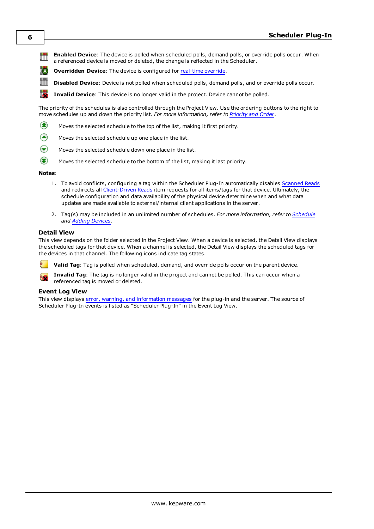**Enabled Device**: The device is polled when scheduled polls, demand polls, or override polls occur. When üπ a referenced device is moved or deleted, the change is reflected in the Scheduler.

ľΔ **Overridden Device**: The device is configured for [real-time](#page-17-0) override.

**Disabled Device**: Device is not polled when scheduled polls, demand polls, and or override polls occur.

12. **Invalid Device**: This device is no longer valid in the project. Device cannot be polled.

The priority of the schedules is also controlled through the Project View. Use the ordering buttons to the right to move schedules up and down the priority list. *For more information, refer to [Priority](#page-17-1) and Order*.

- ☎ Moves the selected schedule to the top of the list, making it first priority.
- (▲) Moves the selected schedule up one place in the list.
- $\odot$ Moves the selected schedule down one place in the list.
- $\odot$ Moves the selected schedule to the bottom of the list, making it last priority.

#### **Notes**:

- 1. To avoid conflicts, configuring a tag within the Scheduler Plug-In automatically disables [Scanned](#page-32-0) Reads and redirects all [Client-Driven](#page-32-0) Reads item requests for all items/tags for that device. Ultimately, the schedule configuration and data availability of the physical device determine when and what data updates are made available to external/internal client applications in the server.
- 2. Tag(s) may be included in an unlimited number of schedules. *For more information, refer to [Schedule](#page-6-0) and Adding [Devices](#page-14-0).*

#### <span id="page-5-0"></span>**Detail View**

This view depends on the folder selected in the Project View. When a device is selected, the Detail View displays the scheduled tags for that device. When a channel is selected, the Detail View displays the scheduled tags for the devices in that channel. The following icons indicate tag states.

**Valid Tag**: Tag is polled when scheduled, demand, and override polls occur on the parent device.

**Invalid Tag**: The tag is no longer valid in the project and cannot be polled. This can occur when a referenced tag is moved or deleted.

### <span id="page-5-1"></span>**Event Log View**

This view displays error, warning, and [information](#page-24-0) messages for the plug-in and the server. The source of Scheduler Plug-In events is listed as "Scheduler Plug-In" in the Event Log View.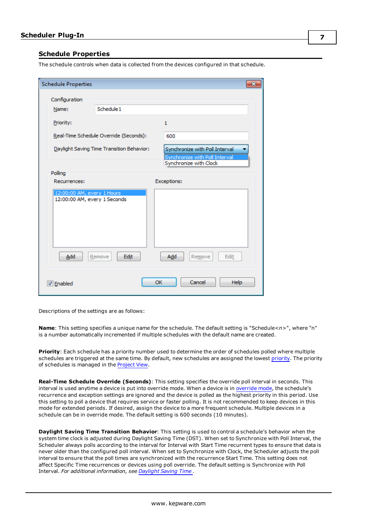### <span id="page-6-0"></span>**Schedule Properties**

The schedule controls when data is collected from the devices configured in that schedule.

| <b>Schedule Properties</b>                                 |                                           |                                                                                            | ЭS |
|------------------------------------------------------------|-------------------------------------------|--------------------------------------------------------------------------------------------|----|
| Configuration                                              | Schedule 1                                |                                                                                            |    |
| Name:                                                      |                                           |                                                                                            |    |
| Priority:                                                  |                                           | $\mathbf{1}$                                                                               |    |
|                                                            | Real-Time Schedule Override (Seconds):    | 600                                                                                        |    |
|                                                            | Daylight Saving Time Transition Behavior: | Synchronize with Poll Interval<br>Synchronize with Poll Interval<br>Synchronize with Clock |    |
| Polling                                                    |                                           |                                                                                            |    |
| Recurrences:                                               |                                           | Exceptions:                                                                                |    |
| 12:00:00 AM, every 1 Hours<br>12:00:00 AM, every 1 Seconds |                                           |                                                                                            |    |
| Add                                                        | Edit<br>Remove                            | Add<br>Edit<br>Remove                                                                      |    |
| <b>√</b> Enabled                                           |                                           | OK<br>Cancel<br><b>Help</b>                                                                |    |

Descriptions of the settings are as follows:

**Name**: This setting specifies a unique name for the schedule. The default setting is "Schedule*<n>*", where "n" is a number automatically incremented if multiple schedules with the default name are created.

**Priority**: Each schedule has a priority number used to determine the order of schedules polled where multiple schedules are triggered at the same time. By default, new schedules are assigned the lowest [priority](#page-17-1). The priority of schedules is managed in the [Project](#page-4-0) View.

**Real-Time Schedule Override (Seconds)**: This setting specifies the override poll interval in seconds. This interval is used anytime a device is put into override mode. When a device is in [override](#page-17-0) mode, the schedule's recurrence and exception settings are ignored and the device is polled as the highest priority in this period. Use this setting to poll a device that requires service or faster polling. It is not recommended to keep devices in this mode for extended periods. If desired, assign the device to a more frequent schedule. Multiple devices in a schedule can be in override mode. The default setting is 600 seconds (10 minutes).

**Daylight Saving Time Transition Behavior**: This setting is used to control a schedule's behavior when the system time clock is adjusted during Daylight Saving Time (DST). When set to Synchronize with Poll Interval, the Scheduler always polls according to the interval for Interval with Start Time recurrent types to ensure that data is never older than the configured poll interval. When set to Synchronize with Clock, the Scheduler adjusts the poll interval to ensure that the poll times are synchronized with the recurrence Start Time. This setting does not affect Specific Time recurrences or devices using poll override. The default setting is Synchronize with Poll Interval. *For additional information, see [Daylight](#page-9-0) Saving Time .*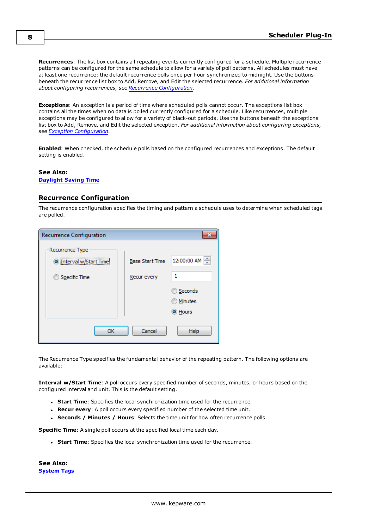**Recurrences**: The list box contains all repeating events currently configured for a schedule. Multiple recurrence patterns can be configured for the same schedule to allow for a variety of poll patterns. All schedules must have at least one recurrence; the default recurrence polls once per hour synchronized to midnight. Use the buttons beneath the recurrence list box to Add, Remove, and Edit the selected recurrence. *For additional information about configuring recurrences, see Recurrence [Configuration.](#page-7-0)*

**Exceptions**: An exception is a period of time where scheduled polls cannot occur. The exceptions list box contains all the times when no data is polled currently configured for a schedule. Like recurrences, multiple exceptions may be configured to allow for a variety of black-out periods. Use the buttons beneath the exceptions list box to Add, Remove, and Edit the selected exception. *For additional information about configuring exceptions, see Exception [Configuration](#page-8-0).*

**Enabled**: When checked, the schedule polls based on the configured recurrences and exceptions. The default setting is enabled.

#### **See Also:**

### <span id="page-7-0"></span>**[Daylight](#page-9-0) Saving Time**

### **Recurrence Configuration**

The recurrence configuration specifies the timing and pattern a schedule uses to determine when scheduled tags are polled.



The Recurrence Type specifies the fundamental behavior of the repeating pattern. The following options are available:

**Interval w/Start Time**: A poll occurs every specified number of seconds, minutes, or hours based on the configured interval and unit. This is the default setting.

- **.** Start Time: Specifies the local synchronization time used for the recurrence.
- **Recur every**: A poll occurs every specified number of the selected time unit.
- <sup>l</sup> **Seconds / Minutes / Hours**: Selects the time unit for how often recurrence polls.

**Specific Time**: A single poll occurs at the specified local time each day.

**.** Start Time: Specifies the local synchronization time used for the recurrence.

**See Also: [System](#page-12-0) Tags**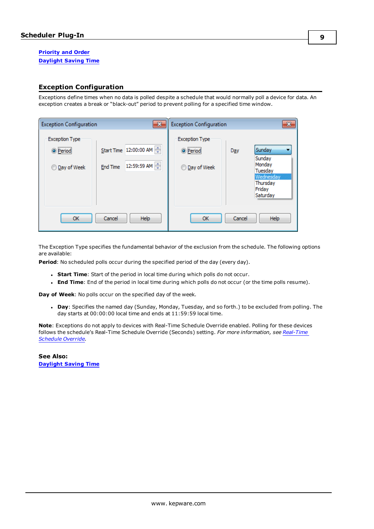### **[Priority](#page-17-1) and Order [Daylight](#page-9-0) Saving Time**

### <span id="page-8-0"></span>**Exception Configuration**

Exceptions define times when no data is polled despite a schedule that would normally poll a device for data. An exception creates a break or "black-out" period to prevent polling for a specified time window.

| <b>Exception Configuration</b>                                         |          | $\mathbf{x}$                          | <b>Exception Configuration</b>                                         |        | $\mathbf{x}$                                                                         |
|------------------------------------------------------------------------|----------|---------------------------------------|------------------------------------------------------------------------|--------|--------------------------------------------------------------------------------------|
| <b>Exception Type</b><br><br><sup>O</sup> Period<br><b>Day of Week</b> | End Time | Start Time 12:00:00 AM<br>12:59:59 AM | <b>Exception Type</b><br><br><sup>O</sup> Period<br><b>Day of Week</b> | Day    | Sunday<br>Sunday<br>Monday<br>Tuesday<br>Wednesday<br>Thursday<br>Friday<br>Saturday |
| OK                                                                     | Cancel   | Help                                  | OK                                                                     | Cancel | Help                                                                                 |

The Exception Type specifies the fundamental behavior of the exclusion from the schedule. The following options are available:

**Period**: No scheduled polls occur during the specified period of the day (every day).

- **Start Time**: Start of the period in local time during which polls do not occur.
- **End Time**: End of the period in local time during which polls do not occur (or the time polls resume).

**Day of Week**: No polls occur on the specified day of the week.

**Day**: Specifies the named day (Sunday, Monday, Tuesday, and so forth.) to be excluded from polling. The day starts at 00:00:00 local time and ends at 11:59:59 local time.

**Note**: Exceptions do not apply to devices with Real-Time Schedule Override enabled. Polling for these devices follows the schedule's Real-Time Schedule Override (Seconds) setting. *For more information, see [Real-Time](#page-17-0) [Schedule](#page-17-0) Override.*

**See Also: [Daylight](#page-9-0) Saving Time**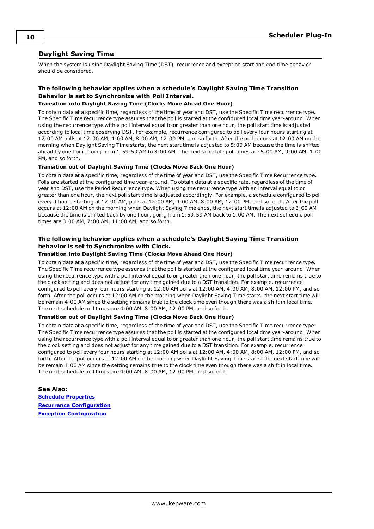### <span id="page-9-0"></span>**Daylight Saving Time**

When the system is using Daylight Saving Time (DST), recurrence and exception start and end time behavior should be considered.

### **The following behavior applies when a schedule's Daylight Saving Time Transition Behavior is set to Synchronize with Poll Interval.**

#### **Transition into Daylight Saving Time (Clocks Move Ahead One Hour)**

To obtain data at a specific time, regardless of the time of year and DST, use the Specific Time recurrence type. The Specific Time recurrence type assures that the poll is started at the configured local time year-around. When using the recurrence type with a poll interval equal to or greater than one hour, the poll start time is adjusted according to local time observing DST. For example, recurrence configured to poll every four hours starting at 12:00 AM polls at 12:00 AM, 4:00 AM, 8:00 AM, 12:00 PM, and so forth. After the poll occurs at 12:00 AM on the morning when Daylight Saving Time starts, the next start time is adjusted to 5:00 AM because the time is shifted ahead by one hour, going from 1:59:59 AM to 3:00 AM. The next schedule poll times are 5:00 AM, 9:00 AM, 1:00 PM, and so forth.

#### **Transition out of Daylight Saving Time (Clocks Move Back One Hour)**

To obtain data at a specific time, regardless of the time of year and DST, use the Specific Time Recurrence type. Polls are started at the configured time year-around. To obtain data at a specific rate, regardless of the time of year and DST, use the Period Recurrence type. When using the recurrence type with an interval equal to or greater than one hour, the next poll start time is adjusted accordingly. For example, a schedule configured to poll every 4 hours starting at 12:00 AM, polls at 12:00 AM, 4:00 AM, 8:00 AM, 12:00 PM, and so forth. After the poll occurs at 12:00 AM on the morning when Daylight Saving Time ends, the next start time is adjusted to 3:00 AM because the time is shifted back by one hour, going from 1:59:59 AM back to 1:00 AM. The next schedule poll times are 3:00 AM, 7:00 AM, 11:00 AM, and so forth.

### **The following behavior applies when a schedule's Daylight Saving Time Transition behavior is set to Synchronize with Clock.**

#### **Transition into Daylight Saving Time (Clocks Move Ahead One Hour)**

To obtain data at a specific time, regardless of the time of year and DST, use the Specific Time recurrence type. The Specific Time recurrence type assures that the poll is started at the configured local time year-around. When using the recurrence type with a poll interval equal to or greater than one hour, the poll start time remains true to the clock setting and does not adjust for any time gained due to a DST transition. For example, recurrence configured to poll every four hours starting at 12:00 AM polls at 12:00 AM, 4:00 AM, 8:00 AM, 12:00 PM, and so forth. After the poll occurs at 12:00 AM on the morning when Daylight Saving Time starts, the next start time will be remain 4:00 AM since the setting remains true to the clock time even though there was a shift in local time. The next schedule poll times are 4:00 AM, 8:00 AM, 12:00 PM, and so forth.

#### **Transition out of Daylight Saving Time (Clocks Move Back One Hour)**

To obtain data at a specific time, regardless of the time of year and DST, use the Specific Time recurrence type. The Specific Time recurrence type assures that the poll is started at the configured local time year-around. When using the recurrence type with a poll interval equal to or greater than one hour, the poll start time remains true to the clock setting and does not adjust for any time gained due to a DST transition. For example, recurrence configured to poll every four hours starting at 12:00 AM polls at 12:00 AM, 4:00 AM, 8:00 AM, 12:00 PM, and so forth. After the poll occurs at 12:00 AM on the morning when Daylight Saving Time starts, the next start time will be remain 4:00 AM since the setting remains true to the clock time even though there was a shift in local time. The next schedule poll times are 4:00 AM, 8:00 AM, 12:00 PM, and so forth.

```
See Also:
Schedule Properties
Recurrence Configuration
Exception Configuration
```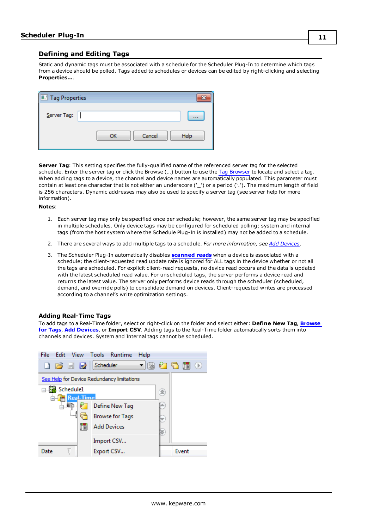### <span id="page-10-0"></span>**Defining and Editing Tags**

Static and dynamic tags must be associated with a schedule for the Scheduler Plug-In to determine which tags from a device should be polled. Tags added to schedules or devices can be edited by right-clicking and selecting **Properties…**.

| <b>T.</b> Tag Properties |              |      |
|--------------------------|--------------|------|
| Server Tag:              |              |      |
|                          | Cancel<br>OK | Help |

**Server Tag**: This setting specifies the fully-qualified name of the referenced server tag for the selected schedule. Enter the server tag or click the Browse (…) button to use the Tag [Browser](#page-11-0) to locate and select a tag. When adding tags to a device, the channel and device names are automatically populated. This parameter must contain at least one character that is not either an underscore ('\_') or a period ('.'). The maximum length of field is 256 characters. Dynamic addresses may also be used to specify a server tag (see server help for more information).

**Notes**:

- 1. Each server tag may only be specified once per schedule; however, the same server tag may be specified in multiple schedules. Only device tags may be configured for scheduled polling; system and internal tags (from the host system where the Schedule Plug-In is installed) may not be added to a schedule.
- 2. There are several ways to add multiple tags to a schedule. *For more information, see Add [Devices](#page-14-0)*.
- 3. The Scheduler Plug-In automatically disables **[scanned](#page-32-0) reads** when a device is associated with a schedule; the client-requested read update rate is ignored for ALL tags in the device whether or not all the tags are scheduled. For explicit client-read requests, no device read occurs and the data is updated with the latest scheduled read value. For unscheduled tags, the server performs a device read and returns the latest value. The server only performs device reads through the scheduler (scheduled, demand, and override polls) to consolidate demand on devices. Client-requested writes are processed according to a channel's write optimization settings.

#### **Adding Real-Time Tags**

To add tags to a Real-Time folder, select or right-click on the folder and select either: **Define New Tag**, **[Browse](#page-11-0) for [Tags](#page-11-0)**, **Add [Devices](#page-14-0)**, or **Import CSV**. Adding tags to the Real-Time folder automatically sorts them into channels and devices. System and Internal tags cannot be scheduled.

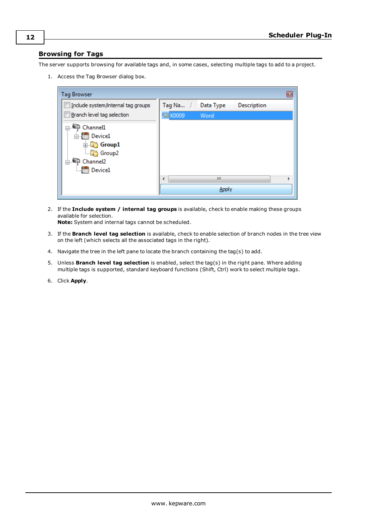### <span id="page-11-0"></span>**Browsing for Tags**

The server supports browsing for available tags and, in some cases, selecting multiple tags to add to a project.

1. Access the Tag Browser dialog box.

| <b>Tag Browser</b>                 |              |           |                    |  |
|------------------------------------|--------------|-----------|--------------------|--|
| Include system/internal tag groups | Tag Na       | Data Type | <b>Description</b> |  |
| Branch level tag selection         | <b>KOOO9</b> | Word      |                    |  |
| ➡ Channel1                         |              |           |                    |  |
| in Device1                         |              |           |                    |  |
| <b>E</b> Group1                    |              |           |                    |  |
| Group2                             |              |           |                    |  |
| Channel <sub>2</sub>               |              |           |                    |  |
| <b>In Device1</b>                  |              |           |                    |  |
|                                    | ∢            | Ш         |                    |  |
|                                    |              | Appl      |                    |  |

2. If the **Include system / internal tag groups** is available, check to enable making these groups available for selection.

**Note:** System and internal tags cannot be scheduled.

- 3. If the **Branch level tag selection** is available, check to enable selection of branch nodes in the tree view on the left (which selects all the associated tags in the right).
- 4. Navigate the tree in the left pane to locate the branch containing the tag(s) to add.
- 5. Unless **Branch level tag selection** is enabled, select the tag(s) in the right pane. Where adding multiple tags is supported, standard keyboard functions (Shift, Ctrl) work to select multiple tags.
- 6. Click **Apply**.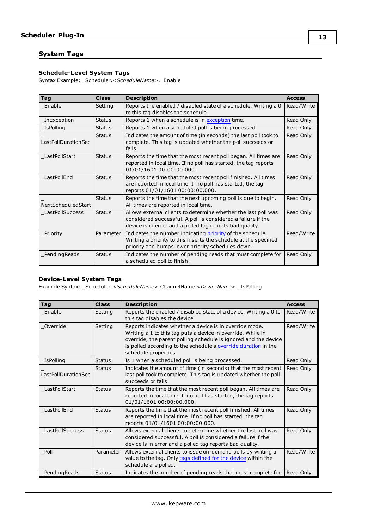### <span id="page-12-0"></span>**System Tags**

### **Schedule-Level System Tags**

Syntax Example: \_Scheduler.<*ScheduleName*>.\_Enable

| <b>Tag</b>          | <b>Class</b>  | <b>Description</b>                                                                                                                                                                         | <b>Access</b> |
|---------------------|---------------|--------------------------------------------------------------------------------------------------------------------------------------------------------------------------------------------|---------------|
| Enable              | Setting       | Reports the enabled / disabled state of a schedule. Writing a 0<br>to this tag disables the schedule.                                                                                      | Read/Write    |
| InException         | <b>Status</b> | Reports 1 when a schedule is in exception time.                                                                                                                                            | Read Only     |
| <b>IsPolling</b>    | <b>Status</b> | Reports 1 when a scheduled poll is being processed.                                                                                                                                        | Read Only     |
| LastPollDurationSec | <b>Status</b> | Indicates the amount of time (in seconds) the last poll took to<br>complete. This tag is updated whether the poll succeeds or<br>fails.                                                    | Read Only     |
| LastPollStart       | <b>Status</b> | Reports the time that the most recent poll began. All times are<br>reported in local time. If no poll has started, the tag reports<br>01/01/1601 00:00:00.000.                             | Read Only     |
| LastPollEnd         | <b>Status</b> | Reports the time that the most recent poll finished. All times<br>are reported in local time. If no poll has started, the tag<br>reports 01/01/1601 00:00:00.000.                          | Read Only     |
| NextScheduledStart  | <b>Status</b> | Reports the time that the next upcoming poll is due to begin.<br>All times are reported in local time.                                                                                     | Read Only     |
| LastPollSuccess     | <b>Status</b> | Allows external clients to determine whether the last poll was<br>considered successful. A poll is considered a failure if the<br>device is in error and a polled tag reports bad quality. | Read Only     |
| Priority            | Parameter     | Indicates the number indicating priority of the schedule.<br>Writing a priority to this inserts the schedule at the specified<br>priority and bumps lower priority schedules down.         | Read/Write    |
| PendingReads        | <b>Status</b> | Indicates the number of pending reads that must complete for<br>a scheduled poll to finish.                                                                                                | Read Only     |

### **Device-Level System Tags**

Example Syntax: \_Scheduler.<*ScheduleName*>.ChannelName.<*DeviceName*>.\_IsPolling

| Tag                                  | <b>Class</b>  | <b>Description</b>                                                                                                                                                                                                                                                                  | <b>Access</b> |
|--------------------------------------|---------------|-------------------------------------------------------------------------------------------------------------------------------------------------------------------------------------------------------------------------------------------------------------------------------------|---------------|
| Enable                               | Setting       | Reports the enabled / disabled state of a device. Writing a 0 to<br>this tag disables the device.                                                                                                                                                                                   | Read/Write    |
| Override<br>Setting                  |               | Reports indicates whether a device is in override mode.<br>Writing a 1 to this tag puts a device in override. While in<br>override, the parent polling schedule is ignored and the device<br>is polled according to the schedule's override duration in the<br>schedule properties. | Read/Write    |
| <b>IsPolling</b>                     | <b>Status</b> | Is 1 when a scheduled poll is being processed.                                                                                                                                                                                                                                      | Read Only     |
| <b>Status</b><br>LastPollDurationSec |               | Indicates the amount of time (in seconds) that the most recent<br>last poll took to complete. This tag is updated whether the poll<br>succeeds or fails.                                                                                                                            | Read Only     |
| LastPollStart                        | <b>Status</b> | Reports the time that the most recent poll began. All times are<br>reported in local time. If no poll has started, the tag reports<br>01/01/1601 00:00:00.000.                                                                                                                      | Read Only     |
| LastPollEnd<br><b>Status</b>         |               | Reports the time that the most recent poll finished. All times<br>are reported in local time. If no poll has started, the tag<br>reports 01/01/1601 00:00:00.000.                                                                                                                   | Read Only     |
| <b>LastPollSuccess</b>               | <b>Status</b> | Allows external clients to determine whether the last poll was<br>considered successful. A poll is considered a failure if the<br>device is in error and a polled tag reports bad quality.                                                                                          | Read Only     |
| Poll                                 | Parameter     | Allows external clients to issue on-demand polls by writing a<br>value to the tag. Only tags defined for the device within the<br>schedule are polled.                                                                                                                              | Read/Write    |
| PendingReads                         | <b>Status</b> | Indicates the number of pending reads that must complete for                                                                                                                                                                                                                        | Read Only     |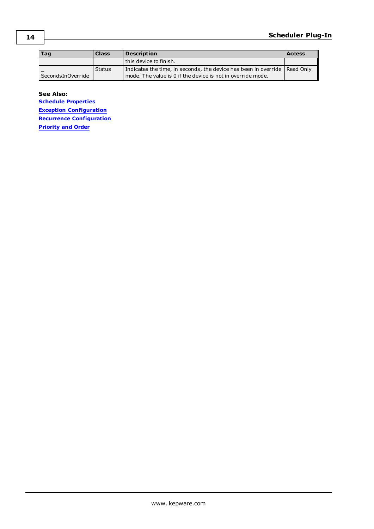| Taq                 | <b>Class</b> | <b>Description</b>                                                                                                                         | <b>Access</b> |
|---------------------|--------------|--------------------------------------------------------------------------------------------------------------------------------------------|---------------|
|                     |              | this device to finish.                                                                                                                     |               |
| l SecondsInOverride | Status       | Indicates the time, in seconds, the device has been in override   Read Only<br>mode. The value is 0 if the device is not in override mode. |               |

**See Also:**

**Schedule [Properties](#page-6-0) Exception [Configuration](#page-8-0) Recurrence [Configuration](#page-7-0) [Priority](#page-17-1) and Order**

**14**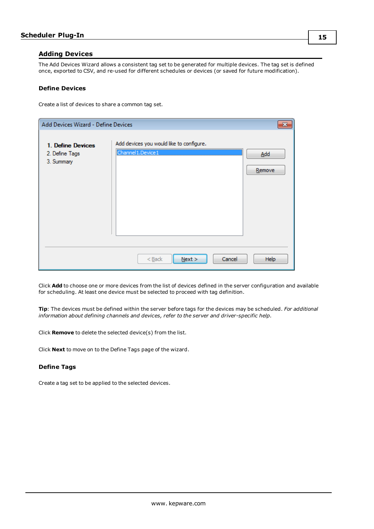### <span id="page-14-0"></span>**Adding Devices**

The Add Devices Wizard allows a consistent tag set to be generated for multiple devices. The tag set is defined once, exported to CSV, and re-used for different schedules or devices (or saved for future modification).

#### **Define Devices**

Create a list of devices to share a common tag set.

| Add Devices Wizard - Define Devices               |                                                                 |               |
|---------------------------------------------------|-----------------------------------------------------------------|---------------|
| 1. Define Devices<br>2. Define Tags<br>3. Summary | Add devices you would like to configure.<br>Channel 1. Device 1 | Add<br>Remove |
|                                                   | Cancel<br>$<$ Back<br>Next                                      | Help          |

Click **Add** to choose one or more devices from the list of devices defined in the server configuration and available for scheduling. At least one device must be selected to proceed with tag definition.

**Tip**: The devices must be defined within the server before tags for the devices may be scheduled. *For additional information about defining channels and devices, refer to the server and driver-specific help.*

Click **Remove** to delete the selected device(s) from the list.

Click **Next** to move on to the Define Tags page of the wizard.

### **Define Tags**

Create a tag set to be applied to the selected devices.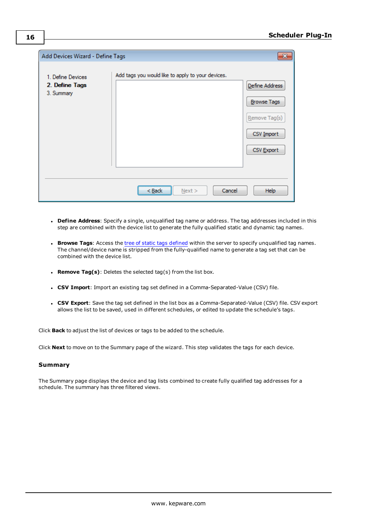| Add Devices Wizard - Define Tags                  |                                                   | $\mathbf{x}$                                                                      |
|---------------------------------------------------|---------------------------------------------------|-----------------------------------------------------------------------------------|
| 1. Define Devices<br>2. Define Tags<br>3. Summary | Add tags you would like to apply to your devices. | Define Address<br><b>Browse Tags</b><br>Remove Tag(s)<br>CSV Import<br>CSV Export |
|                                                   | Cancel<br>Next<br>< Back                          | Help                                                                              |

- <sup>l</sup> **Define Address**: Specify a single, unqualified tag name or address. The tag addresses included in this step are combined with the device list to generate the fully qualified static and dynamic tag names.
- <sup>l</sup> **Browse Tags**: Access the tree of static tags [defined](#page-11-0) within the server to specify unqualified tag names. The channel/device name is stripped from the fully-qualified name to generate a tag set that can be combined with the device list.
- <sup>l</sup> **Remove Tag(s)**: Deletes the selected tag(s) from the list box.
- <sup>l</sup> **CSV Import**: Import an existing tag set defined in a Comma-Separated-Value (CSV) file.
- <sup>l</sup> **CSV Export**: Save the tag set defined in the list box as a Comma-Separated-Value (CSV) file. CSV export allows the list to be saved, used in different schedules, or edited to update the schedule's tags.

Click **Back** to adjust the list of devices or tags to be added to the schedule.

Click **Next** to move on to the Summary page of the wizard. This step validates the tags for each device.

#### **Summary**

The Summary page displays the device and tag lists combined to create fully qualified tag addresses for a schedule. The summary has three filtered views.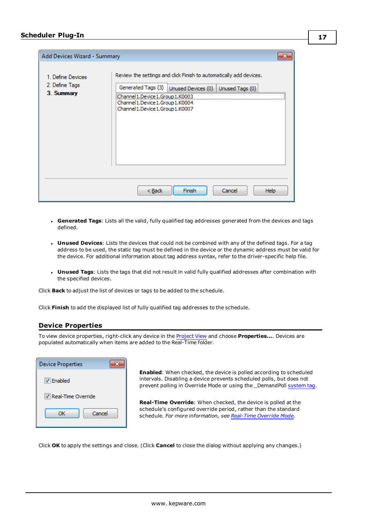| Add Devices Wizard - Summary                      |                                                                                                                                                                                                                                                  |      |
|---------------------------------------------------|--------------------------------------------------------------------------------------------------------------------------------------------------------------------------------------------------------------------------------------------------|------|
| 1. Define Devices<br>2. Define Tags<br>3. Summary | Review the settings and click Finish to automatically add devices.<br>Generated Tags (3) Unused Devices (0) Unused Tags (0)<br>Channel 1. Device 1. Group 1. K0003<br>Channel 1. Device 1. Group 1. K0004<br>Channel 1. Device 1. Group 1. K0007 |      |
|                                                   | $Back$<br>Finish<br>Cancel                                                                                                                                                                                                                       | Help |

- <sup>l</sup> **Generated Tags**: Lists all the valid, fully qualified tag addresses generated from the devices and tags defined.
- **· Unused Devices**: Lists the devices that could not be combined with any of the defined tags. For a tag address to be used, the static tag must be defined in the device or the dynamic address must be valid for the device. For additional information about tag address syntax, refer to the driver-specific help file.
- **· Unused Tags**: Lists the tags that did not result in valid fully qualified addresses after combination with the specified devices.

Click **Back** to adjust the list of devices or tags to be added to the schedule.

<span id="page-16-0"></span>Click **Finish** to add the displayed list of fully qualified tag addresses to the schedule.

### **Device Properties**

To view device properties, right-click any device in the [Project](#page-4-0) View and choose **Properties...**. Devices are populated automatically when items are added to the Real-Time folder.

| <b>Device Properties</b> |  |  |
|--------------------------|--|--|
| <b>V</b> Enabled         |  |  |
| Real-Time Override       |  |  |
| Cancel<br>ОК             |  |  |

**Enabled**: When checked, the device is polled according to scheduled intervals. Disabling a device prevents scheduled polls, but does not prevent polling in Override Mode or using the \_DemandPoll [system](#page-12-0) tag.

**Real-Time Override**: When checked, the device is polled at the schedule's configured override period, rather than the standard schedule. *For more information, see [Real-Time](#page-17-0) Override Mode.*

Click **OK** to apply the settings and close. (Click **Cancel** to close the dialog without applying any changes.)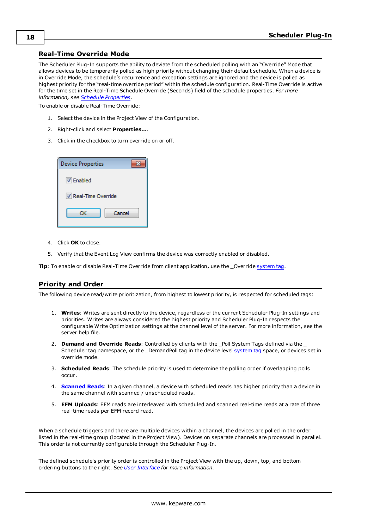### <span id="page-17-0"></span>**Real-Time Override Mode**

The Scheduler Plug-In supports the ability to deviate from the scheduled polling with an "Override" Mode that allows devices to be temporarily polled as high priority without changing their default schedule. When a device is in Override Mode, the schedule's recurrence and exception settings are ignored and the device is polled as highest priority for the "real-time override period" within the schedule configuration. Real-Time Override is active for the time set in the Real-Time Schedule Override (Seconds) field of the schedule properties. *For more information, see Schedule [Properties.](#page-6-0)*

To enable or disable Real-Time Override:

- 1. Select the device in the Project View of the Configuration.
- 2. Right-click and select **Properties…**.
- 3. Click in the checkbox to turn override on or off.

| <b>Device Properties</b> |  |  |
|--------------------------|--|--|
| $\triangledown$ Enabled  |  |  |
| Real-Time Override       |  |  |
| Cancel<br>ОК             |  |  |

- 4. Click **OK** to close.
- 5. Verify that the Event Log View confirms the device was correctly enabled or disabled.

<span id="page-17-1"></span>**Tip**: To enable or disable Real-Time Override from client application, use the \_Override [system](#page-12-0) tag.

### **Priority and Order**

The following device read/write prioritization, from highest to lowest priority, is respected for scheduled tags:

- 1. **Writes**: Writes are sent directly to the device, regardless of the current Scheduler Plug-In settings and priorities. Writes are always considered the highest priority and Scheduler Plug-In respects the configurable Write Optimization settings at the channel level of the server. For more information, see the server help file.
- 2. **Demand and Override Reads**: Controlled by clients with the \_Poll System Tags defined via the \_ Scheduler tag namespace, or the \_DemandPoll tag in the device level [system](#page-12-0) tag space, or devices set in override mode.
- 3. **Scheduled Reads**: The schedule priority is used to determine the polling order if overlapping polls occur.
- 4. **[Scanned](#page-32-0) Reads**: In a given channel, a device with scheduled reads has higher priority than a device in the same channel with scanned / unscheduled reads.
- 5. **EFM Uploads**: EFM reads are interleaved with scheduled and scanned real-time reads at a rate of three real-time reads per EFM record read.

When a schedule triggers and there are multiple devices within a channel, the devices are polled in the order listed in the real-time group (located in the Project View). Devices on separate channels are processed in parallel. This order is not currently configurable through the Scheduler Plug-In.

The defined schedule's priority order is controlled in the Project View with the up, down, top, and bottom ordering buttons to the right. *See User [Interface](#page-4-0) for more information.*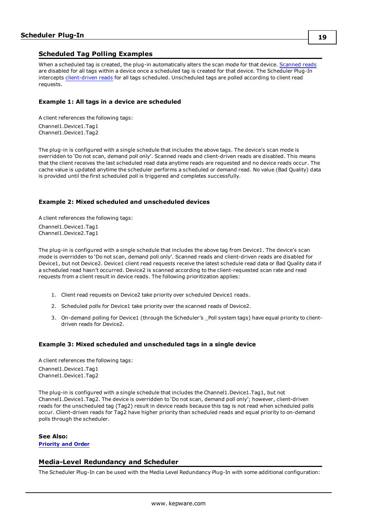### <span id="page-18-0"></span>**Scheduled Tag Polling Examples**

When a scheduled tag is created, the plug-in automatically alters the scan mode for that device. [Scanned](#page-32-0) reads are disabled for all tags within a device once a scheduled tag is created for that device. The Scheduler Plug-In intercepts [client-driven](#page-32-0) reads for all tags scheduled. Unscheduled tags are polled according to client read requests.

### **Example 1: All tags in a device are scheduled**

A client references the following tags: Channel1.Device1.Tag1 Channel1.Device1.Tag2

The plug-in is configured with a single schedule that includes the above tags. The device's scan mode is overridden to 'Do not scan, demand poll only'. Scanned reads and client-driven reads are disabled. This means that the client receives the last scheduled read data anytime reads are requested and no device reads occur. The cache value is updated anytime the scheduler performs a scheduled or demand read. No value (Bad Quality) data is provided until the first scheduled poll is triggered and completes successfully.

### **Example 2: Mixed scheduled and unscheduled devices**

A client references the following tags: Channel1.Device1.Tag1 Channel1.Device2.Tag1

The plug-in is configured with a single schedule that includes the above tag from Device1. The device's scan mode is overridden to 'Do not scan, demand poll only'. Scanned reads and client-driven reads are disabled for Device1, but not Device2. Device1 client read requests receive the latest schedule read data or Bad Quality data if a scheduled read hasn't occurred. Device2 is scanned according to the client-requested scan rate and read requests from a client result in device reads. The following prioritization applies:

- 1. Client read requests on Device2 take priority over scheduled Device1 reads.
- 2. Scheduled polls for Device1 take priority over the scanned reads of Device2.
- 3. On-demand polling for Device1 (through the Scheduler's \_Poll system tags) have equal priority to clientdriven reads for Device2.

#### **Example 3: Mixed scheduled and unscheduled tags in a single device**

A client references the following tags:

Channel1.Device1.Tag1 Channel1.Device1.Tag2

The plug-in is configured with a single schedule that includes the Channel1.Device1.Tag1, but not Channel1.Device1.Tag2. The device is overridden to 'Do not scan, demand poll only'; however, client-driven reads for the unscheduled tag (Tag2) result in device reads because this tag is not read when scheduled polls occur. Client-driven reads for Tag2 have higher priority than scheduled reads and equal priority to on-demand polls through the scheduler.

#### **See Also:**

<span id="page-18-1"></span>**[Priority](#page-17-1) and Order**

### **Media-Level Redundancy and Scheduler**

The Scheduler Plug-In can be used with the Media Level Redundancy Plug-In with some additional configuration: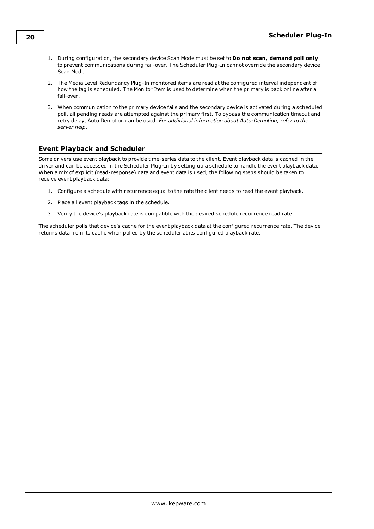- 1. During configuration, the secondary device Scan Mode must be set to **Do not scan, demand poll only** to prevent communications during fail-over. The Scheduler Plug-In cannot override the secondary device Scan Mode.
- 2. The Media Level Redundancy Plug-In monitored items are read at the configured interval independent of how the tag is scheduled. The Monitor Item is used to determine when the primary is back online after a fail-over.
- 3. When communication to the primary device fails and the secondary device is activated during a scheduled poll, all pending reads are attempted against the primary first. To bypass the communication timeout and retry delay, Auto Demotion can be used. *For additional information about Auto-Demotion, refer to the server help.*

### <span id="page-19-0"></span>**Event Playback and Scheduler**

Some drivers use event playback to provide time-series data to the client. Event playback data is cached in the driver and can be accessed in the Scheduler Plug-In by setting up a schedule to handle the event playback data. When a mix of explicit (read-response) data and event data is used, the following steps should be taken to receive event playback data:

- 1. Configure a schedule with recurrence equal to the rate the client needs to read the event playback.
- 2. Place all event playback tags in the schedule.
- 3. Verify the device's playback rate is compatible with the desired schedule recurrence read rate.

The scheduler polls that device's cache for the event playback data at the configured recurrence rate. The device returns data from its cache when polled by the scheduler at its configured playback rate.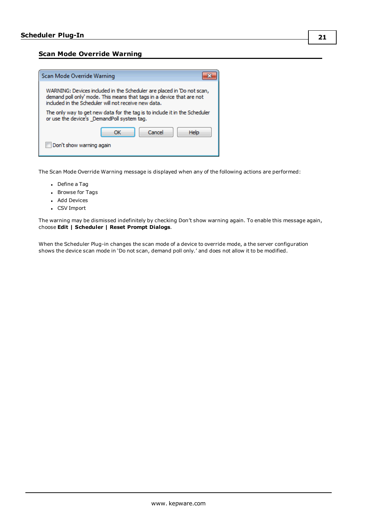**21**

### <span id="page-20-0"></span>**Scan Mode Override Warning**



The Scan Mode Override Warning message is displayed when any of the following actions are performed:

- Define a Tag
- Browse for Tags
- Add Devices
- CSV Import

The warning may be dismissed indefinitely by checking Don't show warning again. To enable this message again, choose **Edit | Scheduler | Reset Prompt Dialogs**.

When the Scheduler Plug-in changes the scan mode of a device to override mode, a the server configuration shows the device scan mode in 'Do not scan, demand poll only.' and does not allow it to be modified.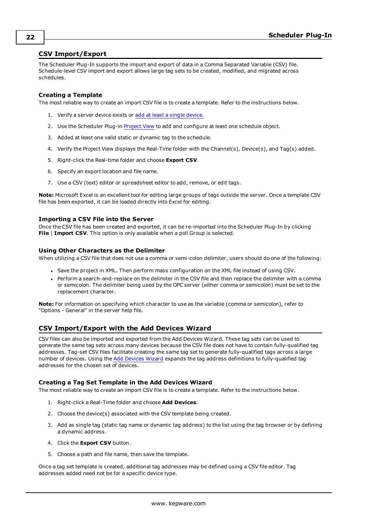### <span id="page-21-0"></span>**CSV Import/Export**

The Scheduler Plug-In supports the import and export of data in a Comma Separated Variable (CSV) file. Schedule-level CSV import and export allows large tag sets to be created, modified, and migrated across schedules.

### **Creating a Template**

The most reliable way to create an import CSV file is to create a template. Refer to the instructions below.

- 1. Verify a server device exists or add at least a single [device.](#page-14-0)
- 2. Use the Scheduler Plug-in [Project](#page-4-0) View to add and configure at least one schedule object.
- 3. Added at least one valid static or dynamic tag to the schedule.
- 4. Verify the Project View displays the Real-Time folder with the Channel(s), Device(s), and Tag(s) added.
- 5. Right-click the Real-time folder and choose **Export CSV**.
- 6. Specify an export location and file name.
- 7. Use a CSV (text) editor or spreadsheet editor to add, remove, or edit tags.

**Note:** Microsoft Excel is an excellent tool for editing large groups of tags outside the server. Once a template CSV file has been exported, it can be loaded directly into Excel for editing.

### **Importing a CSV File into the Server**

Once the CSV file has been created and exported, it can be re-imported into the Scheduler Plug-In by clicking **File** | **Import CSV**. This option is only available when a poll Group is selected.

### **Using Other Characters as the Delimiter**

When utilizing a CSV file that does not use a comma or semi-colon delimiter, users should do one of the following:

- <sup>l</sup> Save the project in XML. Then perform mass configuration on the XML file instead of using CSV.
- Perform a search-and-replace on the delimiter in the CSV file and then replace the delimiter with a comma or semicolon. The delimiter being used by the OPC server (either comma or semicolon) must be set to the replacement character.

**Note:** For information on specifying which character to use as the variable (comma or semicolon), refer to "Options - General" in the server help file.

### <span id="page-21-1"></span>**CSV Import/Export with the Add Devices Wizard**

CSV files can also be imported and exported from the Add Devices Wizard. These tag sets can be used to generate the same tag sets across many devices because the CSV file does not have to contain fully-qualified tag addresses. Tag-set CSV files facilitate creating the same tag set to generate fully-qualified tags across a large number of devices. Using the Add [Devices](#page-14-0) Wizard expands the tag address definitions to fully-qualified tag addresses for the chosen set of devices.

### **Creating a Tag Set Template in the Add Devices Wizard**

The most reliable way to create an import CSV file is to create a template. Refer to the instructions below.

- 1. Right-click a Real-Time folder and choose **Add Devices**.
- 2. Choose the device(s) associated with the CSV template being created.
- 3. Add as single tag (static tag name or dynamic tag address) to the list using the tag browser or by defining a dynamic address.
- 4. Click the **Export CSV** button.
- 5. Choose a path and file name, then save the template.

Once a tag set template is created, additional tag addresses may be defined using a CSV file editor. Tag addresses added need not be for a specific device type.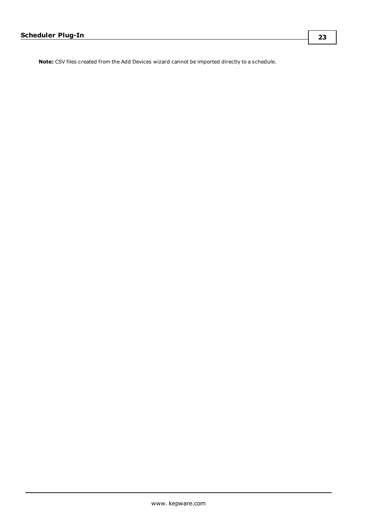**Note:** CSV files created from the Add Devices wizard cannot be imported directly to a schedule.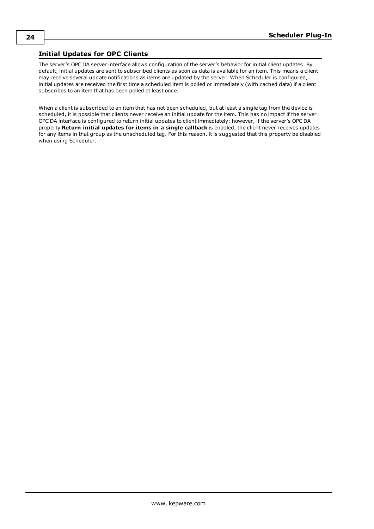### <span id="page-23-1"></span><span id="page-23-0"></span>**Initial Updates for OPC Clients**

The server's OPC DA server interface allows configuration of the server's behavior for initial client updates. By default, initial updates are sent to subscribed clients as soon as data is available for an item. This means a client may receive several update notifications as items are updated by the server. When Scheduler is configured, initial updates are received the first time a scheduled item is polled or immediately (with cached data) if a client subscribes to an item that has been polled at least once.

When a client is subscribed to an item that has not been scheduled, but at least a single tag from the device is scheduled, it is possible that clients never receive an initial update for the item. This has no impact if the server OPC DA interface is configured to return initial updates to client immediately; however, if the server's OPC DA property **Return initial updates for items in a single callback** is enabled, the client never receives updates for any items in that group as the unscheduled tag. For this reason, it is suggested that this property be disabled when using Scheduler.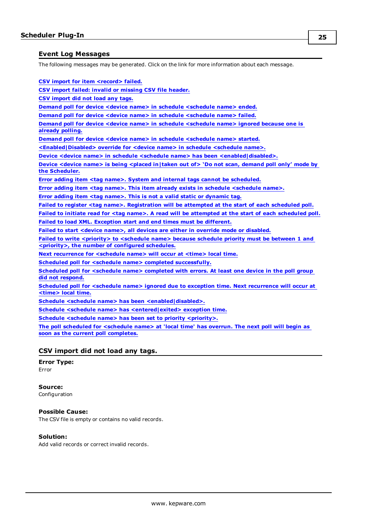### <span id="page-24-0"></span>**Event Log Messages**

The following messages may be generated. Click on the link for more information about each message.

**CSV import for item [<record>](#page-25-1) failed.**

**CSV import failed: invalid or [missing](#page-25-0) CSV file header.**

**CSV [import](#page-24-1) did not load any tags.**

**Demand poll for device <device name> in schedule [<schedule](#page-25-2) name> ended.**

**Demand poll for device <device name> in schedule [<schedule](#page-25-3) name> failed.**

**Demand poll for device <device name> in schedule [<schedule](#page-26-0) name> ignored because one is already [polling.](#page-26-0)**

**Demand poll for device <device name> in schedule [<schedule](#page-26-1) name> started.**

**[<Enabled|Disabled>](#page-27-0) override for <device name> in schedule <schedule name>.**

**Device <device name> in schedule <schedule name> has been [<enabled|disabled>.](#page-26-2)**

**Device <device name> is being <placed [in|taken](#page-26-3) out of> 'Do not scan, demand poll only' mode by the [Scheduler.](#page-26-3)**

**Error adding item <tag name>. System and internal tags cannot be [scheduled.](#page-27-1)**

**Error adding item <tag name>. This item already exists in schedule [<schedule](#page-27-3) name>.**

**Error adding item <tag name>. This is not a valid static or [dynamic](#page-27-2) tag.**

**Failed to register <tag name>. [Registration](#page-28-2) will be attempted at the start of each scheduled poll.**

Failed to initiate read for <tag name>. A read will be [attempted](#page-28-0) at the start of each scheduled poll. **Failed to load XML. [Exception](#page-28-1) start and end times must be different.**

**Failed to start <device name>, all devices are either in override mode or [disabled.](#page-29-0)**

**Failed to write [<priority>](#page-29-1) to <schedule name> because schedule priority must be between 1 and [<priority>,](#page-29-1) the number of configured schedules.**

**Next [recurrence](#page-29-2) for <schedule name> will occur at <time> local time.**

**Scheduled poll for <schedule name> completed [successfully.](#page-30-2)**

**Scheduled poll for [<schedule](#page-30-3) name> completed with errors. At least one device in the poll group did not [respond.](#page-30-3)**

**Scheduled poll for <schedule name> ignored due to exception time. Next [recurrence](#page-30-4) will occur at [<time>](#page-30-4) local time.**

**Schedule <schedule name> has been [<enabled|disabled>.](#page-29-3)**

**Schedule <schedule name> has [<entered|exited>](#page-30-1) exception time.**

**Schedule <schedule name> has been set to priority [<priority>.](#page-30-1)**

**The poll scheduled for [<schedule](#page-31-0) name> at 'local time' has overrun. The next poll will begin as soon as the current poll [completes.](#page-31-0)**

### <span id="page-24-1"></span>**CSV import did not load any tags.**

### **Error Type:** Error

#### **Source:**

Configuration

### **Possible Cause:**

The CSV file is empty or contains no valid records.

#### **Solution:**

Add valid records or correct invalid records.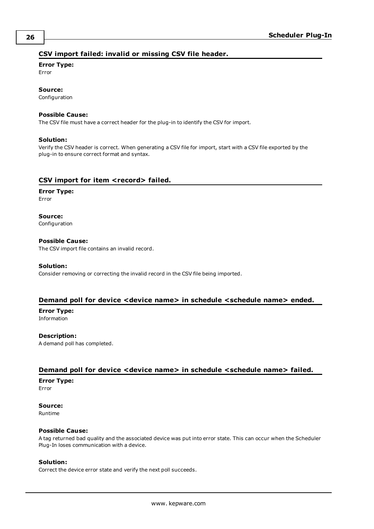### <span id="page-25-0"></span>**CSV import failed: invalid or missing CSV file header.**

#### **Error Type:**

Error

### **Source:**

Configuration

### **Possible Cause:**

The CSV file must have a correct header for the plug-in to identify the CSV for import.

#### **Solution:**

Verify the CSV header is correct. When generating a CSV file for import, start with a CSV file exported by the plug-in to ensure correct format and syntax.

### <span id="page-25-1"></span>**CSV import for item <record> failed.**

#### **Error Type:** Error

**Source:** Configuration

#### **Possible Cause:**

The CSV import file contains an invalid record.

#### **Solution:**

Consider removing or correcting the invalid record in the CSV file being imported.

### <span id="page-25-2"></span>**Demand poll for device <device name> in schedule <schedule name> ended.**

**Error Type:** Information

**Description:** A demand poll has completed.

### <span id="page-25-3"></span>**Demand poll for device <device name> in schedule <schedule name> failed.**

### **Error Type:**

Error

### **Source:**

Runtime

### **Possible Cause:**

A tag returned bad quality and the associated device was put into error state. This can occur when the Scheduler Plug-In loses communication with a device.

#### **Solution:**

Correct the device error state and verify the next poll succeeds.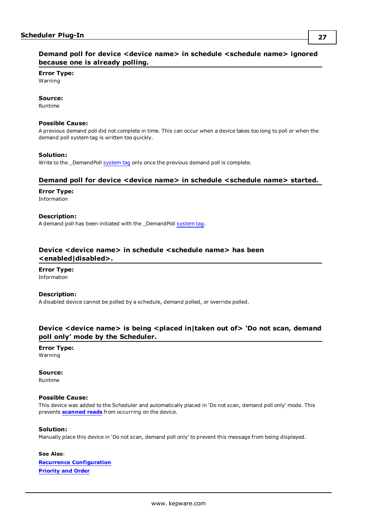### <span id="page-26-0"></span>**Demand poll for device <device name> in schedule <schedule name> ignored because one is already polling.**

**Error Type:** Warning

#### **Source:**

Runtime

#### **Possible Cause:**

A previous demand poll did not complete in time. This can occur when a device takes too long to poll or when the demand poll system tag is written too quickly.

#### **Solution:**

Write to the \_DemandPoll [system](#page-12-0) tag only once the previous demand poll is complete.

### <span id="page-26-1"></span>**Demand poll for device <device name> in schedule <schedule name> started.**

### **Error Type:**

Information

### **Description:**

A demand poll has been initiated with the \_DemandPoll [system](#page-12-0) tag.

### <span id="page-26-2"></span>**Device <device name> in schedule <schedule name> has been <enabled|disabled>.**

#### **Error Type:** Information

### **Description:**

A disabled device cannot be polled by a schedule, demand polled, or override polled.

### <span id="page-26-3"></span>**Device <device name> is being <placed in|taken out of> 'Do not scan, demand poll only' mode by the Scheduler.**

# **Error Type:**

Warning

### **Source:**

Runtime

### **Possible Cause:**

This device was added to the Scheduler and automatically placed in 'Do not scan, demand poll only' mode. This prevents **[scanned](#page-32-0) reads** from occurring on the device.

### **Solution:**

Manually place this device in 'Do not scan, demand poll only' to prevent this message from being displayed.

**See Also**: **Recurrence [Configuration](#page-7-0) [Priority](#page-17-1) and Order**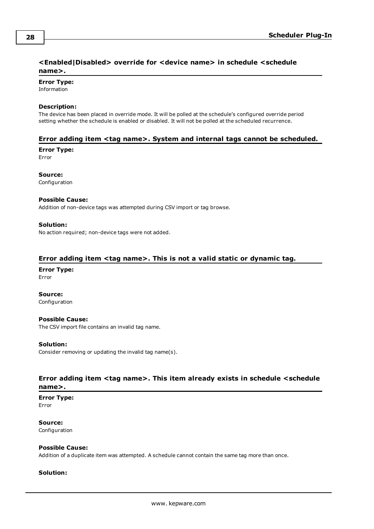### <span id="page-27-0"></span>**<Enabled|Disabled> override for <device name> in schedule <schedule name>.**

**Error Type:**

Information

### **Description:**

The device has been placed in override mode. It will be polled at the schedule's configured override period setting whether the schedule is enabled or disabled. It will not be polled at the scheduled recurrence.

### <span id="page-27-1"></span>**Error adding item <tag name>. System and internal tags cannot be scheduled.**

**Error Type:**

Error

**Source:** Configuration

### **Possible Cause:**

Addition of non-device tags was attempted during CSV import or tag browse.

### **Solution:**

No action required; non-device tags were not added.

### <span id="page-27-2"></span>**Error adding item <tag name>. This is not a valid static or dynamic tag.**

# **Error Type:**

Error

**Source:** Configuration

### **Possible Cause:**

The CSV import file contains an invalid tag name.

### **Solution:**

Consider removing or updating the invalid tag name(s).

### <span id="page-27-3"></span>**Error adding item <tag name>. This item already exists in schedule <schedule name>.**

**Error Type:** Error

**Source:** Configuration

#### **Possible Cause:**

Addition of a duplicate item was attempted. A schedule cannot contain the same tag more than once.

### **Solution:**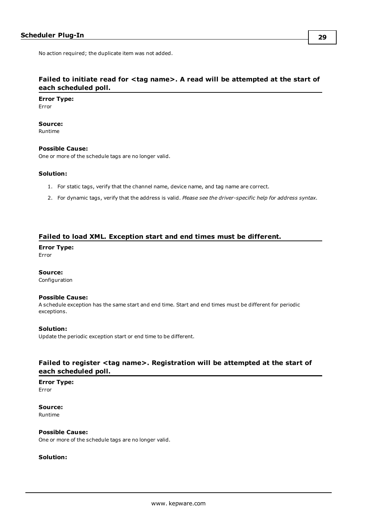### <span id="page-28-0"></span>**Failed to initiate read for <tag name>. A read will be attempted at the start of each scheduled poll.**

**Error Type:** Error

**Source:**

Runtime

### **Possible Cause:**

One or more of the schedule tags are no longer valid.

### **Solution:**

- 1. For static tags, verify that the channel name, device name, and tag name are correct.
- 2. For dynamic tags, verify that the address is valid. *Please see the driver-specific help for address syntax*.

#### <span id="page-28-1"></span>**Failed to load XML. Exception start and end times must be different.**

**Error Type:**

Error

### **Source:**

Configuration

#### **Possible Cause:**

A schedule exception has the same start and end time. Start and end times must be different for periodic exceptions.

#### **Solution:**

Update the periodic exception start or end time to be different.

### <span id="page-28-2"></span>**Failed to register <tag name>. Registration will be attempted at the start of each scheduled poll.**

## **Error Type:**

Error

**Source:** Runtime

**Possible Cause:** One or more of the schedule tags are no longer valid.

### **Solution:**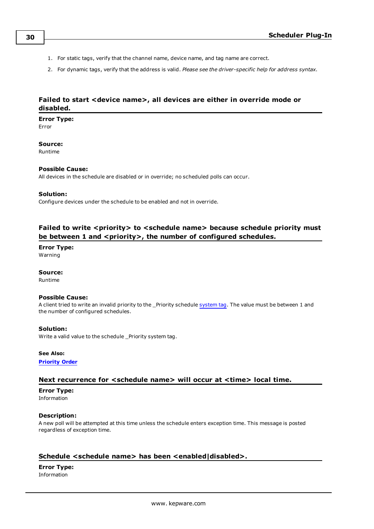- 1. For static tags, verify that the channel name, device name, and tag name are correct.
- 2. For dynamic tags, verify that the address is valid. *Please see the driver-specific help for address syntax*.

### <span id="page-29-0"></span>**Failed to start <device name>, all devices are either in override mode or disabled.**

### **Error Type:**

Error

### **Source:**

Runtime

### **Possible Cause:**

All devices in the schedule are disabled or in override; no scheduled polls can occur.

### **Solution:**

Configure devices under the schedule to be enabled and not in override.

### <span id="page-29-1"></span>**Failed to write <priority> to <schedule name> because schedule priority must be between 1 and <priority>, the number of configured schedules.**

### **Error Type:**

Warning

### **Source:**

Runtime

### **Possible Cause:**

A client tried to write an invalid priority to the \_Priority schedule [system](#page-12-0) tag. The value must be between 1 and the number of configured schedules.

### **Solution:**

Write a valid value to the schedule \_Priority system tag.

#### **See Also:**

<span id="page-29-2"></span>**[Priority](#page-17-1) Order**

### **Next recurrence for <schedule name> will occur at <time> local time.**

#### **Error Type:**

Information

### **Description:**

A new poll will be attempted at this time unless the schedule enters exception time. This message is posted regardless of exception time.

### <span id="page-29-3"></span>**Schedule <schedule name> has been <enabled|disabled>.**

**Error Type:** Information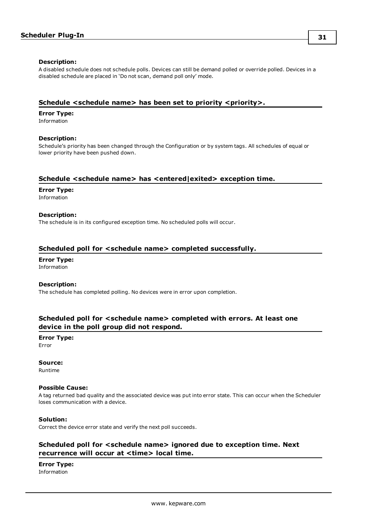#### **Description:**

A disabled schedule does not schedule polls. Devices can still be demand polled or override polled. Devices in a disabled schedule are placed in 'Do not scan, demand poll only' mode.

### <span id="page-30-0"></span>**Schedule <schedule name> has been set to priority <priority>.**

#### **Error Type:**

Information

### **Description:**

Schedule's priority has been changed through the Configuration or by system tags. All schedules of equal or lower priority have been pushed down.

### <span id="page-30-1"></span>**Schedule <schedule name> has <entered|exited> exception time.**

### **Error Type:**

Information

#### **Description:**

The schedule is in its configured exception time. No scheduled polls will occur.

### <span id="page-30-2"></span>**Scheduled poll for <schedule name> completed successfully.**

**Error Type:** Information

#### **Description:**

The schedule has completed polling. No devices were in error upon completion.

### <span id="page-30-3"></span>**Scheduled poll for <schedule name> completed with errors. At least one device in the poll group did not respond.**

**Error Type:** Error

# **Source:**

Runtime

#### **Possible Cause:**

A tag returned bad quality and the associated device was put into error state. This can occur when the Scheduler loses communication with a device.

#### **Solution:**

Correct the device error state and verify the next poll succeeds.

### <span id="page-30-4"></span>**Scheduled poll for <schedule name> ignored due to exception time. Next recurrence will occur at <time> local time.**

**Error Type:** Information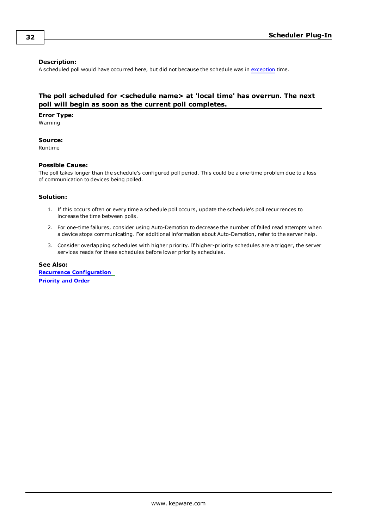### **Description:**

A scheduled poll would have occurred here, but did not because the schedule was in [exception](#page-8-0) time.

### <span id="page-31-0"></span>**The poll scheduled for <schedule name> at 'local time' has overrun. The next poll will begin as soon as the current poll completes.**

**Error Type:**

Warning

### **Source:**

Runtime

#### **Possible Cause:**

The poll takes longer than the schedule's configured poll period. This could be a one-time problem due to a loss of communication to devices being polled.

#### **Solution:**

- 1. If this occurs often or every time a schedule poll occurs, update the schedule's poll recurrences to increase the time between polls.
- 2. For one-time failures, consider using Auto-Demotion to decrease the number of failed read attempts when a device stops communicating. For additional information about Auto-Demotion, refer to the server help.
- 3. Consider overlapping schedules with higher priority. If higher-priority schedules are a trigger, the server services reads for these schedules before lower priority schedules.

**See Also: Recurrence [Configuration](#page-7-0) [Priority](#page-17-1) and Order**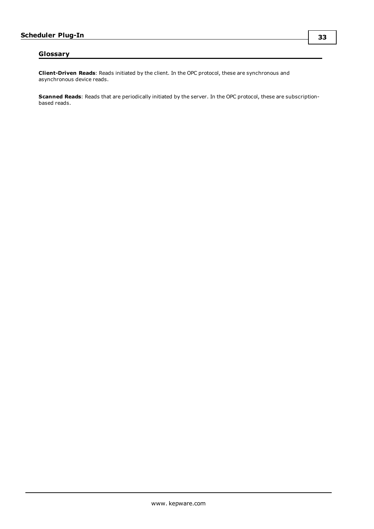### <span id="page-32-0"></span>**Glossary**

**Client-Driven Reads**: Reads initiated by the client. In the OPC protocol, these are synchronous and asynchronous device reads.

**Scanned Reads**: Reads that are periodically initiated by the server. In the OPC protocol, these are subscriptionbased reads.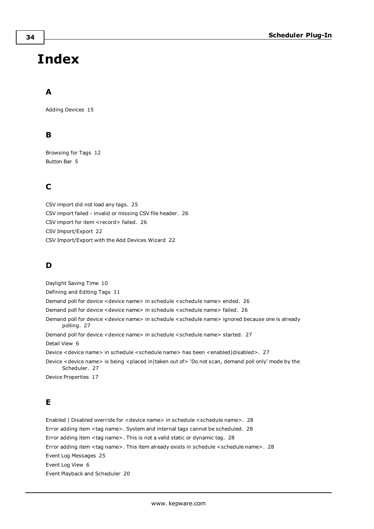# <span id="page-33-0"></span>**Index**

# **A**

Adding Devices [15](#page-14-0)

# **B**

Browsing for Tags [12](#page-11-0) Button Bar [5](#page-4-1)

# **C**

CSV import did not load any tags. [25](#page-24-1) CSV import failed - invalid or missing CSV file header. [26](#page-25-0) CSV import for item <record> failed. [26](#page-25-1) CSV Import/Export [22](#page-21-0) CSV Import/Export with the Add Devices Wizard [22](#page-21-1)

# **D**

Daylight Saving Time [10](#page-9-0) Defining and Editing Tags [11](#page-10-0) Demand poll for device <device name> in schedule <schedule name> ended. [26](#page-25-2) Demand poll for device <device name> in schedule <schedule name> failed. [26](#page-25-3) Demand poll for device <device name> in schedule <schedule name> ignored because one is already polling. [27](#page-26-0) Demand poll for device <device name> in schedule <schedule name> started. [27](#page-26-1) Detail View [6](#page-5-0) Device <device name> in schedule <schedule name> has been <enabled|disabled>. [27](#page-26-2) Device <device name> is being <placed in|taken out of> 'Do not scan, demand poll only' mode by the Scheduler. [27](#page-26-3) Device Properties [17](#page-16-0)

# **E**

Enabled | Disabled override for <device name> in schedule <schedule name>. [28](#page-27-0) Error adding item <tag name>. System and internal tags cannot be scheduled. [28](#page-27-1) Error adding item <tag name>. This is not a valid static or dynamic tag. [28](#page-27-2) Error adding item <tag name>. This item already exists in schedule <schedule name>. [28](#page-27-3) Event Log Messages [25](#page-24-0) Event Log View [6](#page-5-1) Event Playback and Scheduler [20](#page-19-0)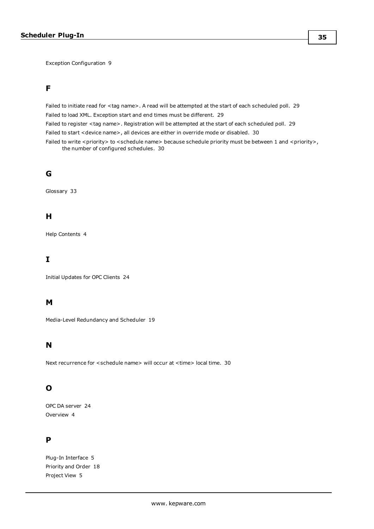Exception Configuration [9](#page-8-0)

### **F**

Failed to initiate read for <tag name>. A read will be attempted at the start of each scheduled poll. [29](#page-28-0) Failed to load XML. Exception start and end times must be different. [29](#page-28-1) Failed to register <tag name>. Registration will be attempted at the start of each scheduled poll. [29](#page-28-2) Failed to start <device name>, all devices are either in override mode or disabled. [30](#page-29-0)

Failed to write <priority> to <schedule name> because schedule priority must be between 1 and <priority>, the number of configured schedules. [30](#page-29-1)

### **G**

Glossary [33](#page-32-0)

### **H**

Help Contents [4](#page-3-0)

### **I**

Initial Updates for OPC Clients [24](#page-23-0)

### **M**

Media-Level Redundancy and Scheduler [19](#page-18-1)

### **N**

Next recurrence for <schedule name> will occur at <time> local time. [30](#page-29-2)

## **O**

OPC DA server [24](#page-23-1) Overview [4](#page-3-1)

### **P**

Plug-In Interface [5](#page-4-0) Priority and Order [18](#page-17-1) Project View [5](#page-4-2)